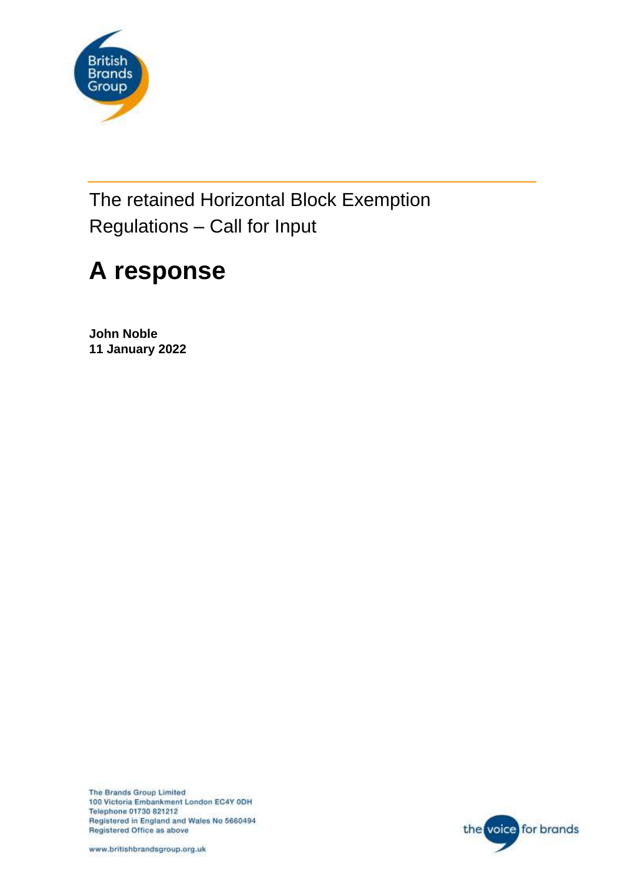

The retained Horizontal Block Exemption Regulations – Call for Input

# **A response**

**John Noble 11 January 2022**

The Brands Group Limited 100 Victoria Embankment London EC4Y 0DH Telephone 01730 821212 Registered in England and Wales No 5660494 Registered Office as above



www.britishbrandsgroup.org.uk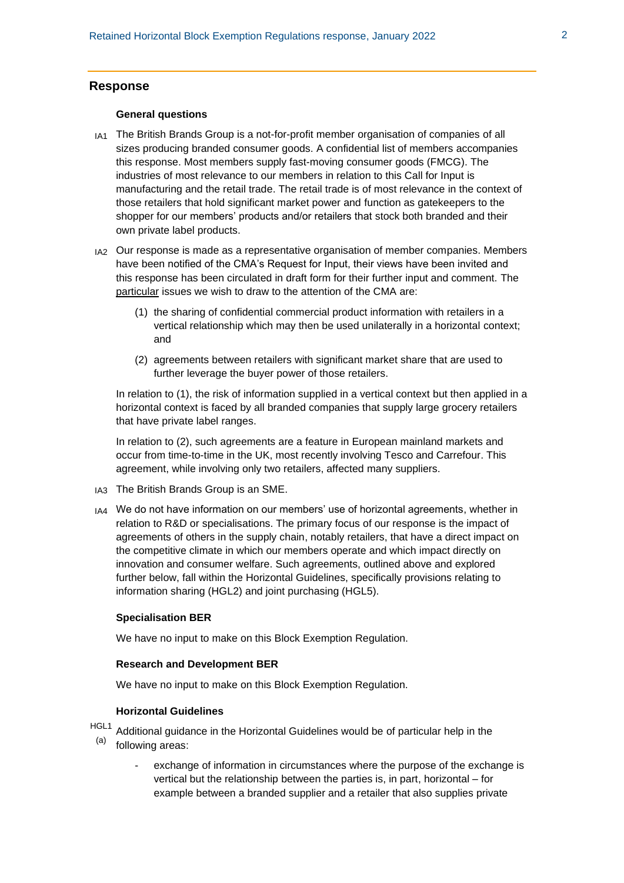# **Response**

## **General questions**

- IA1 The British Brands Group is a not-for-profit member organisation of companies of all sizes producing branded consumer goods. A confidential list of members accompanies this response. Most members supply fast-moving consumer goods (FMCG). The industries of most relevance to our members in relation to this Call for Input is manufacturing and the retail trade. The retail trade is of most relevance in the context of those retailers that hold significant market power and function as gatekeepers to the shopper for our members' products and/or retailers that stock both branded and their own private label products.
- IA2 Our response is made as a representative organisation of member companies. Members have been notified of the CMA's Request for Input, their views have been invited and this response has been circulated in draft form for their further input and comment. The particular issues we wish to draw to the attention of the CMA are:
	- (1) the sharing of confidential commercial product information with retailers in a vertical relationship which may then be used unilaterally in a horizontal context; and
	- (2) agreements between retailers with significant market share that are used to further leverage the buyer power of those retailers.

In relation to (1), the risk of information supplied in a vertical context but then applied in a horizontal context is faced by all branded companies that supply large grocery retailers that have private label ranges.

In relation to (2), such agreements are a feature in European mainland markets and occur from time-to-time in the UK, most recently involving Tesco and Carrefour. This agreement, while involving only two retailers, affected many suppliers.

- IA3 The British Brands Group is an SME.
- IA4 We do not have information on our members' use of horizontal agreements, whether in relation to R&D or specialisations. The primary focus of our response is the impact of agreements of others in the supply chain, notably retailers, that have a direct impact on the competitive climate in which our members operate and which impact directly on innovation and consumer welfare. Such agreements, outlined above and explored further below, fall within the Horizontal Guidelines, specifically provisions relating to information sharing (HGL2) and joint purchasing (HGL5).

#### **Specialisation BER**

We have no input to make on this Block Exemption Regulation.

#### **Research and Development BER**

We have no input to make on this Block Exemption Regulation.

## **Horizontal Guidelines**

- <sup>HGL1</sup> Additional guidance in the Horizontal Guidelines would be of particular help in the (a) following areas:
	- - exchange of information in circumstances where the purpose of the exchange is vertical but the relationship between the parties is, in part, horizontal – for example between a branded supplier and a retailer that also supplies private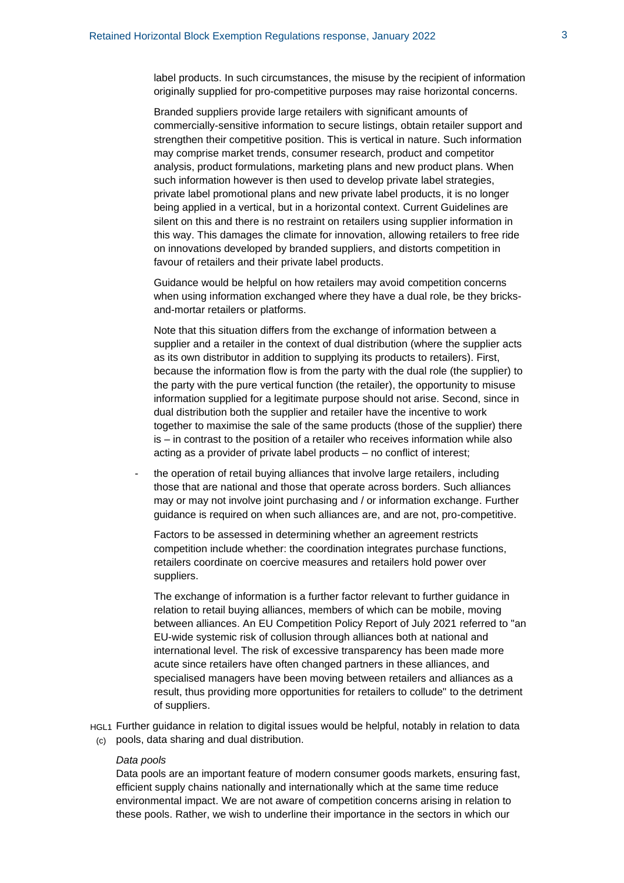label products. In such circumstances, the misuse by the recipient of information originally supplied for pro-competitive purposes may raise horizontal concerns.

Branded suppliers provide large retailers with significant amounts of commercially-sensitive information to secure listings, obtain retailer support and strengthen their competitive position. This is vertical in nature. Such information may comprise market trends, consumer research, product and competitor analysis, product formulations, marketing plans and new product plans. When such information however is then used to develop private label strategies, private label promotional plans and new private label products, it is no longer being applied in a vertical, but in a horizontal context. Current Guidelines are silent on this and there is no restraint on retailers using supplier information in this way. This damages the climate for innovation, allowing retailers to free ride on innovations developed by branded suppliers, and distorts competition in favour of retailers and their private label products.

Guidance would be helpful on how retailers may avoid competition concerns when using information exchanged where they have a dual role, be they bricksand-mortar retailers or platforms.

Note that this situation differs from the exchange of information between a supplier and a retailer in the context of dual distribution (where the supplier acts as its own distributor in addition to supplying its products to retailers). First, because the information flow is from the party with the dual role (the supplier) to the party with the pure vertical function (the retailer), the opportunity to misuse information supplied for a legitimate purpose should not arise. Second, since in dual distribution both the supplier and retailer have the incentive to work together to maximise the sale of the same products (those of the supplier) there is – in contrast to the position of a retailer who receives information while also acting as a provider of private label products – no conflict of interest;

the operation of retail buying alliances that involve large retailers, including those that are national and those that operate across borders. Such alliances may or may not involve joint purchasing and / or information exchange. Further guidance is required on when such alliances are, and are not, pro-competitive.

Factors to be assessed in determining whether an agreement restricts competition include whether: the coordination integrates purchase functions, retailers coordinate on coercive measures and retailers hold power over suppliers.

The exchange of information is a further factor relevant to further guidance in relation to retail buying alliances, members of which can be mobile, moving between alliances. An EU Competition Policy Report of July 2021 referred to "an EU-wide systemic risk of collusion through alliances both at national and international level. The risk of excessive transparency has been made more acute since retailers have often changed partners in these alliances, and specialised managers have been moving between retailers and alliances as a result, thus providing more opportunities for retailers to collude" to the detriment of suppliers.

HGL1 Further guidance in relation to digital issues would be helpful, notably in relation to data (c) pools, data sharing and dual distribution.

#### *Data pools*

Data pools are an important feature of modern consumer goods markets, ensuring fast, efficient supply chains nationally and internationally which at the same time reduce environmental impact. We are not aware of competition concerns arising in relation to these pools. Rather, we wish to underline their importance in the sectors in which our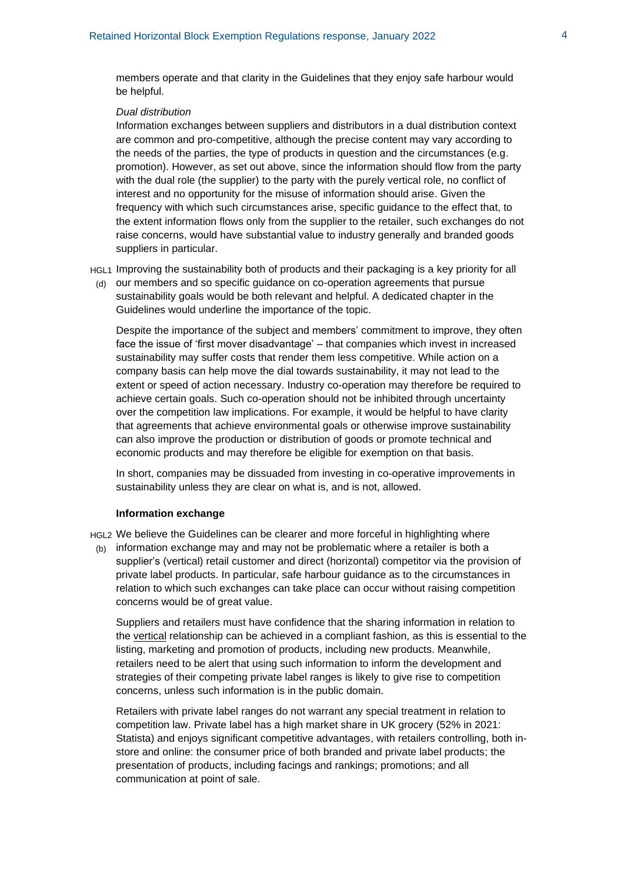members operate and that clarity in the Guidelines that they enjoy safe harbour would be helpful.

### *Dual distribution*

Information exchanges between suppliers and distributors in a dual distribution context are common and pro-competitive, although the precise content may vary according to the needs of the parties, the type of products in question and the circumstances (e.g. promotion). However, as set out above, since the information should flow from the party with the dual role (the supplier) to the party with the purely vertical role, no conflict of interest and no opportunity for the misuse of information should arise. Given the frequency with which such circumstances arise, specific guidance to the effect that, to the extent information flows only from the supplier to the retailer, such exchanges do not raise concerns, would have substantial value to industry generally and branded goods suppliers in particular.

HGL1 Improving the sustainability both of products and their packaging is a key priority for all

(d) our members and so specific guidance on co-operation agreements that pursue sustainability goals would be both relevant and helpful. A dedicated chapter in the Guidelines would underline the importance of the topic.

Despite the importance of the subject and members' commitment to improve, they often face the issue of 'first mover disadvantage' – that companies which invest in increased sustainability may suffer costs that render them less competitive. While action on a company basis can help move the dial towards sustainability, it may not lead to the extent or speed of action necessary. Industry co-operation may therefore be required to achieve certain goals. Such co-operation should not be inhibited through uncertainty over the competition law implications. For example, it would be helpful to have clarity that agreements that achieve environmental goals or otherwise improve sustainability can also improve the production or distribution of goods or promote technical and economic products and may therefore be eligible for exemption on that basis.

In short, companies may be dissuaded from investing in co-operative improvements in sustainability unless they are clear on what is, and is not, allowed.

### **Information exchange**

HGL2 We believe the Guidelines can be clearer and more forceful in highlighting where

(b) information exchange may and may not be problematic where a retailer is both a supplier's (vertical) retail customer and direct (horizontal) competitor via the provision of private label products. In particular, safe harbour guidance as to the circumstances in relation to which such exchanges can take place can occur without raising competition concerns would be of great value.

Suppliers and retailers must have confidence that the sharing information in relation to the vertical relationship can be achieved in a compliant fashion, as this is essential to the listing, marketing and promotion of products, including new products. Meanwhile, retailers need to be alert that using such information to inform the development and strategies of their competing private label ranges is likely to give rise to competition concerns, unless such information is in the public domain.

Retailers with private label ranges do not warrant any special treatment in relation to competition law. Private label has a high market share in UK grocery (52% in 2021: Statista) and enjoys significant competitive advantages, with retailers controlling, both instore and online: the consumer price of both branded and private label products; the presentation of products, including facings and rankings; promotions; and all communication at point of sale.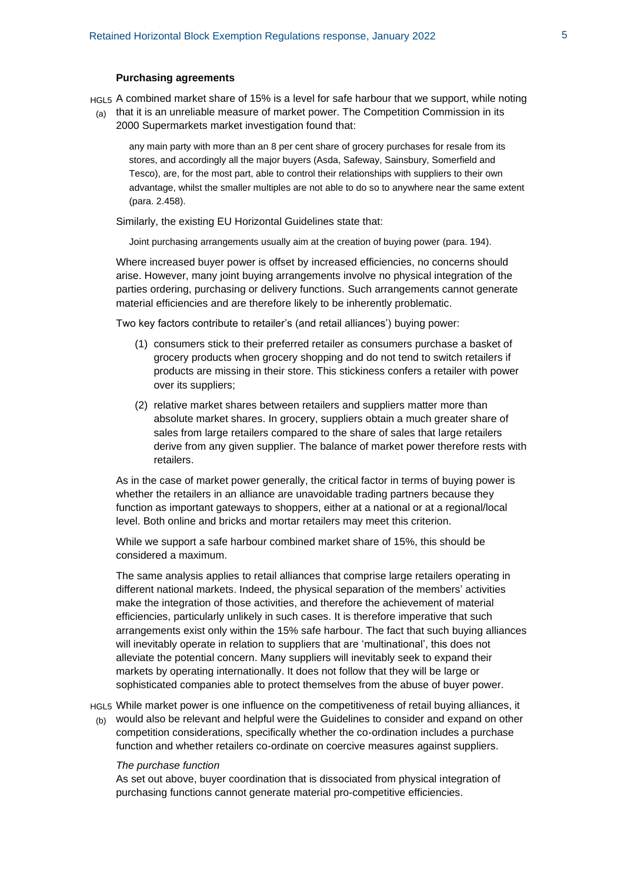## **Purchasing agreements**

HGL5 A combined market share of 15% is a level for safe harbour that we support, while noting

(a) that it is an unreliable measure of market power. The Competition Commission in its 2000 Supermarkets market investigation found that:

any main party with more than an 8 per cent share of grocery purchases for resale from its stores, and accordingly all the major buyers (Asda, Safeway, Sainsbury, Somerfield and Tesco), are, for the most part, able to control their relationships with suppliers to their own advantage, whilst the smaller multiples are not able to do so to anywhere near the same extent (para. 2.458).

Similarly, the existing EU Horizontal Guidelines state that:

Joint purchasing arrangements usually aim at the creation of buying power (para. 194).

Where increased buyer power is offset by increased efficiencies, no concerns should arise. However, many joint buying arrangements involve no physical integration of the parties ordering, purchasing or delivery functions. Such arrangements cannot generate material efficiencies and are therefore likely to be inherently problematic.

Two key factors contribute to retailer's (and retail alliances') buying power:

- (1) consumers stick to their preferred retailer as consumers purchase a basket of grocery products when grocery shopping and do not tend to switch retailers if products are missing in their store. This stickiness confers a retailer with power over its suppliers;
- (2) relative market shares between retailers and suppliers matter more than absolute market shares. In grocery, suppliers obtain a much greater share of sales from large retailers compared to the share of sales that large retailers derive from any given supplier. The balance of market power therefore rests with retailers.

As in the case of market power generally, the critical factor in terms of buying power is whether the retailers in an alliance are unavoidable trading partners because they function as important gateways to shoppers, either at a national or at a regional/local level. Both online and bricks and mortar retailers may meet this criterion.

While we support a safe harbour combined market share of 15%, this should be considered a maximum.

The same analysis applies to retail alliances that comprise large retailers operating in different national markets. Indeed, the physical separation of the members' activities make the integration of those activities, and therefore the achievement of material efficiencies, particularly unlikely in such cases. It is therefore imperative that such arrangements exist only within the 15% safe harbour. The fact that such buying alliances will inevitably operate in relation to suppliers that are 'multinational', this does not alleviate the potential concern. Many suppliers will inevitably seek to expand their markets by operating internationally. It does not follow that they will be large or sophisticated companies able to protect themselves from the abuse of buyer power.

HGL5 While market power is one influence on the competitiveness of retail buying alliances, it

 $(b)$  would also be relevant and helpful were the Guidelines to consider and expand on other competition considerations, specifically whether the co-ordination includes a purchase function and whether retailers co-ordinate on coercive measures against suppliers.

## *The purchase function*

As set out above, buyer coordination that is dissociated from physical integration of purchasing functions cannot generate material pro-competitive efficiencies.